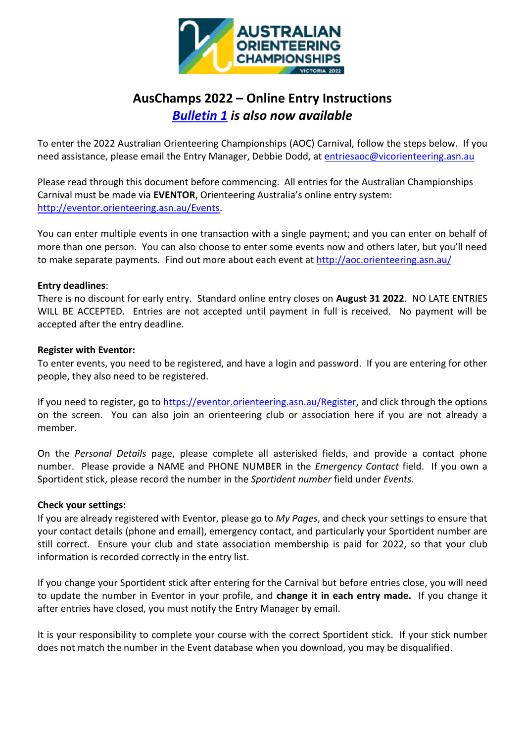

# **AusChamps 2022 – Online Entry Instructions**  *[Bulletin 1](https://eventor.orienteering.asn.au/Documents/Event/13732/AOC2022-Bulletin-1) is also now available*

To enter the 2022 Australian Orienteering Championships (AOC) Carnival, follow the steps below. If you need assistance, please email the Entry Manager, Debbie Dodd, at [entriesaoc@vicorienteering.asn.au](mailto:entriesaoc@vicorienteering.asn.au)

Please read through this document before commencing. All entries for the Australian Championships Carnival must be made via **EVENTOR**, Orienteering Australia's online entry system: [http://eventor.orienteering.asn.au/Events.](http://eventor.orienteering.asn.au/Events)

You can enter multiple events in one transaction with a single payment; and you can enter on behalf of more than one person. You can also choose to enter some events now and others later, but you'll need to make separate payments. Find out more about each event at<http://aoc.orienteering.asn.au/>

### **Entry deadlines**:

There is no discount for early entry. Standard online entry closes on **August 31 2022**. NO LATE ENTRIES WILL BE ACCEPTED. Entries are not accepted until payment in full is received. No payment will be accepted after the entry deadline.

### **Register with Eventor:**

To enter events, you need to be registered, and have a login and password. If you are entering for other people, they also need to be registered.

If you need to register, go to [https://eventor.orienteering.asn.au/Register,](https://eventor.orienteering.asn.au/Register) and click through the options on the screen. You can also join an orienteering club or association here if you are not already a member.

On the *Personal Details* page, please complete all asterisked fields, and provide a contact phone number. Please provide a NAME and PHONE NUMBER in the *Emergency Contact* field. If you own a Sportident stick, please record the number in the *Sportident number* field under *Events.*

### **Check your settings:**

If you are already registered with Eventor, please go to *My Pages*, and check your settings to ensure that your contact details (phone and email), emergency contact, and particularly your Sportident number are still correct. Ensure your club and state association membership is paid for 2022, so that your club information is recorded correctly in the entry list.

If you change your Sportident stick after entering for the Carnival but before entries close, you will need to update the number in Eventor in your profile, and **change it in each entry made.** If you change it after entries have closed, you must notify the Entry Manager by email.

It is your responsibility to complete your course with the correct Sportident stick. If your stick number does not match the number in the Event database when you download, you may be disqualified.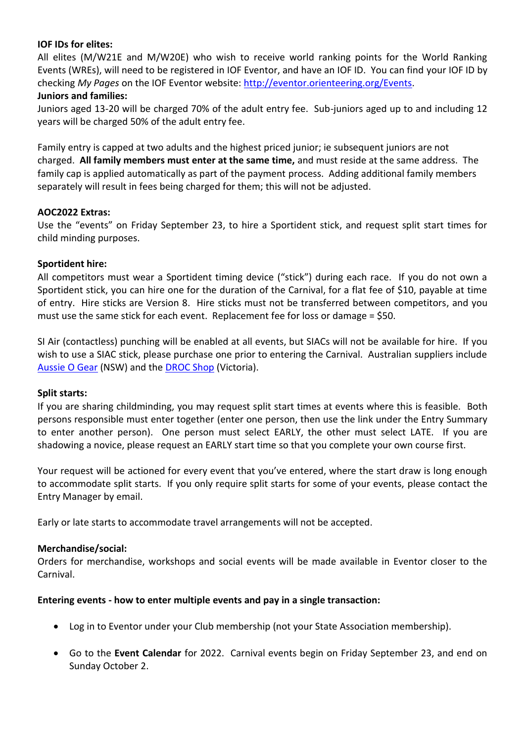# **IOF IDs for elites:**

All elites (M/W21E and M/W20E) who wish to receive world ranking points for the World Ranking Events (WREs), will need to be registered in IOF Eventor, and have an IOF ID. You can find your IOF ID by checking *My Pages* on the IOF Eventor website: [http://eventor.orienteering.org/Events.](http://eventor.orienteering.org/Events) **Juniors and families:**

Juniors aged 13-20 will be charged 70% of the adult entry fee. Sub-juniors aged up to and including 12 years will be charged 50% of the adult entry fee.

Family entry is capped at two adults and the highest priced junior; ie subsequent juniors are not charged. **All family members must enter at the same time,** and must reside at the same address. The family cap is applied automatically as part of the payment process. Adding additional family members separately will result in fees being charged for them; this will not be adjusted.

### **AOC2022 Extras:**

Use the "events" on Friday September 23, to hire a Sportident stick, and request split start times for child minding purposes.

### **Sportident hire:**

All competitors must wear a Sportident timing device ("stick") during each race. If you do not own a Sportident stick, you can hire one for the duration of the Carnival, for a flat fee of \$10, payable at time of entry. Hire sticks are Version 8. Hire sticks must not be transferred between competitors, and you must use the same stick for each event. Replacement fee for loss or damage = \$50.

SI Air (contactless) punching will be enabled at all events, but SIACs will not be available for hire. If you wish to use a SIAC stick, please purchase one prior to entering the Carnival. Australian suppliers include [Aussie O Gear](https://www.aussieogear.com/) (NSW) and the [DROC Shop](https://www.drocorienteering.com.au/wordpress/droc-shop/) (Victoria).

#### **Split starts:**

If you are sharing childminding, you may request split start times at events where this is feasible. Both persons responsible must enter together (enter one person, then use the link under the Entry Summary to enter another person). One person must select EARLY, the other must select LATE. If you are shadowing a novice, please request an EARLY start time so that you complete your own course first.

Your request will be actioned for every event that you've entered, where the start draw is long enough to accommodate split starts. If you only require split starts for some of your events, please contact the Entry Manager by email.

Early or late starts to accommodate travel arrangements will not be accepted.

### **Merchandise/social:**

Orders for merchandise, workshops and social events will be made available in Eventor closer to the Carnival.

### **Entering events - how to enter multiple events and pay in a single transaction:**

- Log in to Eventor under your Club membership (not your State Association membership).
- Go to the **Event Calendar** for 2022. Carnival events begin on Friday September 23, and end on Sunday October 2.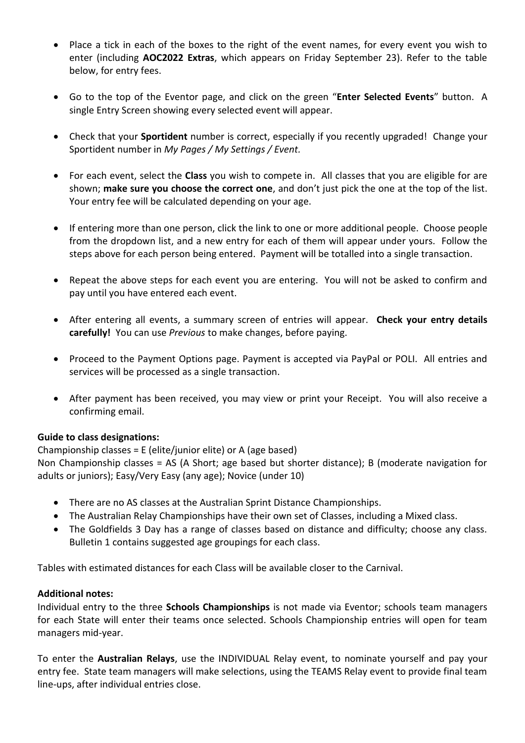- Place a tick in each of the boxes to the right of the event names, for every event you wish to enter (including **AOC2022 Extras**, which appears on Friday September 23). Refer to the table below, for entry fees.
- Go to the top of the Eventor page, and click on the green "**Enter Selected Events**" button. A single Entry Screen showing every selected event will appear.
- Check that your **Sportident** number is correct, especially if you recently upgraded! Change your Sportident number in *My Pages / My Settings / Event.*
- For each event, select the **Class** you wish to compete in. All classes that you are eligible for are shown; **make sure you choose the correct one**, and don't just pick the one at the top of the list. Your entry fee will be calculated depending on your age.
- If entering more than one person, click the link to one or more additional people. Choose people from the dropdown list, and a new entry for each of them will appear under yours. Follow the steps above for each person being entered. Payment will be totalled into a single transaction.
- Repeat the above steps for each event you are entering. You will not be asked to confirm and pay until you have entered each event.
- After entering all events, a summary screen of entries will appear. **Check your entry details carefully!** You can use *Previous* to make changes, before paying.
- Proceed to the Payment Options page. Payment is accepted via PayPal or POLI. All entries and services will be processed as a single transaction.
- After payment has been received, you may view or print your Receipt. You will also receive a confirming email.

# **Guide to class designations:**

# Championship classes = E (elite/junior elite) or A (age based)

Non Championship classes = AS (A Short; age based but shorter distance); B (moderate navigation for adults or juniors); Easy/Very Easy (any age); Novice (under 10)

- There are no AS classes at the Australian Sprint Distance Championships.
- The Australian Relay Championships have their own set of Classes, including a Mixed class.
- The Goldfields 3 Day has a range of classes based on distance and difficulty; choose any class. Bulletin 1 contains suggested age groupings for each class.

Tables with estimated distances for each Class will be available closer to the Carnival.

### **Additional notes:**

Individual entry to the three **Schools Championships** is not made via Eventor; schools team managers for each State will enter their teams once selected. Schools Championship entries will open for team managers mid-year.

To enter the **Australian Relays**, use the INDIVIDUAL Relay event, to nominate yourself and pay your entry fee. State team managers will make selections, using the TEAMS Relay event to provide final team line-ups, after individual entries close.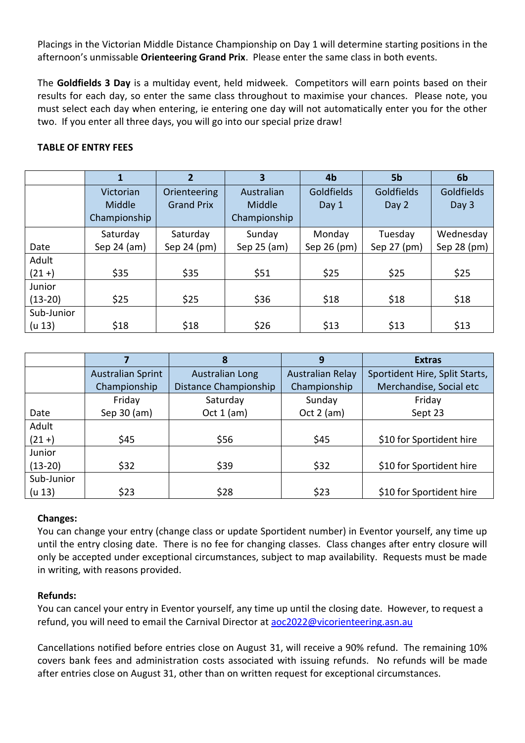Placings in the Victorian Middle Distance Championship on Day 1 will determine starting positions in the afternoon's unmissable **Orienteering Grand Prix**. Please enter the same class in both events.

The **Goldfields 3 Day** is a multiday event, held midweek. Competitors will earn points based on their results for each day, so enter the same class throughout to maximise your chances. Please note, you must select each day when entering, ie entering one day will not automatically enter you for the other two. If you enter all three days, you will go into our special prize draw!

# **TABLE OF ENTRY FEES**

|            |              | $\overline{2}$    | 3            | 4b                | 5b          | 6 <sub>b</sub> |
|------------|--------------|-------------------|--------------|-------------------|-------------|----------------|
|            | Victorian    | Orienteering      | Australian   | <b>Goldfields</b> | Goldfields  | Goldfields     |
|            | Middle       | <b>Grand Prix</b> | Middle       | Day 1             | Day 2       | Day 3          |
|            | Championship |                   | Championship |                   |             |                |
|            | Saturday     | Saturday          | Sunday       | Monday            | Tuesday     | Wednesday      |
| Date       | Sep 24 (am)  | Sep 24 (pm)       | Sep 25 (am)  | Sep 26 (pm)       | Sep 27 (pm) | Sep 28 (pm)    |
| Adult      |              |                   |              |                   |             |                |
| $(21 + )$  | \$35         | \$35              | \$51         | \$25              | \$25        | \$25           |
| Junior     |              |                   |              |                   |             |                |
| $(13-20)$  | \$25         | \$25              | \$36         | \$18              | \$18        | \$18           |
| Sub-Junior |              |                   |              |                   |             |                |
| (u 13)     | \$18         | \$18              | \$26         | \$13              | \$13        | \$13           |

|            |                          | 8                      | 9                       | <b>Extras</b>                  |
|------------|--------------------------|------------------------|-------------------------|--------------------------------|
|            | <b>Australian Sprint</b> | <b>Australian Long</b> | <b>Australian Relay</b> | Sportident Hire, Split Starts, |
|            | Championship             | Distance Championship  | Championship            | Merchandise, Social etc        |
|            | Friday                   | Saturday               | Sunday                  | Friday                         |
| Date       | Sep 30 (am)              | Oct $1$ (am)           | Oct $2$ (am)            | Sept 23                        |
| Adult      |                          |                        |                         |                                |
| $(21 + )$  | \$45                     | \$56                   | \$45                    | \$10 for Sportident hire       |
| Junior     |                          |                        |                         |                                |
| $(13-20)$  | \$32                     | \$39                   | \$32                    | \$10 for Sportident hire       |
| Sub-Junior |                          |                        |                         |                                |
| (u 13)     | \$23                     | \$28                   | \$23                    | \$10 for Sportident hire       |

### **Changes:**

You can change your entry (change class or update Sportident number) in Eventor yourself, any time up until the entry closing date. There is no fee for changing classes. Class changes after entry closure will only be accepted under exceptional circumstances, subject to map availability. Requests must be made in writing, with reasons provided.

# **Refunds:**

You can cancel your entry in Eventor yourself, any time up until the closing date. However, to request a refund, you will need to email the Carnival Director at [aoc2022@vicorienteering.asn.au](mailto:aoc2022@vicorienteering.asn.au)

Cancellations notified before entries close on August 31, will receive a 90% refund. The remaining 10% covers bank fees and administration costs associated with issuing refunds. No refunds will be made after entries close on August 31, other than on written request for exceptional circumstances.